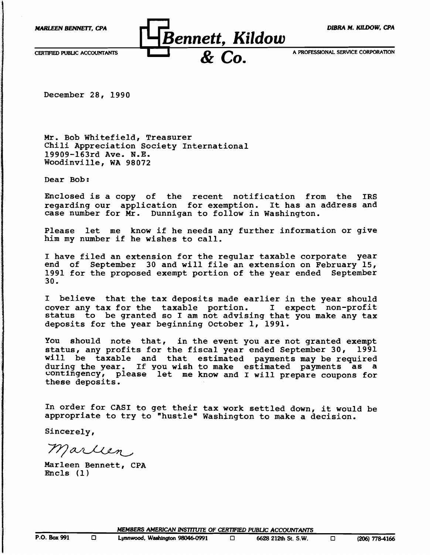

December 28, 1990

Mr. Bob Whitefield, Treasurer Chili Appreciation Society International 19909-l63rd Ave. N.E. Woodinville, WA 98072

Dear Bob:

Enclosed is a copy of the recent notification from the IRS regarding our application for exemption. It has an address and case number for Mr. Dunnigan to follow in Washington.

Please let me know if he needs any further information or give him my number if he wishes to call.

I have filed an extension for the regular taxable corporate year end of September 30 and will file an extension on February 15, 1991 for the proposed exempt portion of the year ended September 30.

I believe that the tax deposits made earlier in the year should cover any tax for the taxable portion. I expect non-profit status to be granted so I am not advising that you make any tax deposits for the year beginning October 1, 1991.

You should note that, in the event you are not granted exempt status, any profits for the fiscal year ended September 30, 1991 will be taxable and that estimated payments may be required during the year. If you wish to make estimated payments as a contingency, please let me know and I will prepare coupons for these deposits.

In order for CASI to get their tax work settled down, it would be appropriate to try to "hustle" Washington to make a decision.

Sincerely,

Marlien

Marleen Bennett, CPA Encls (1)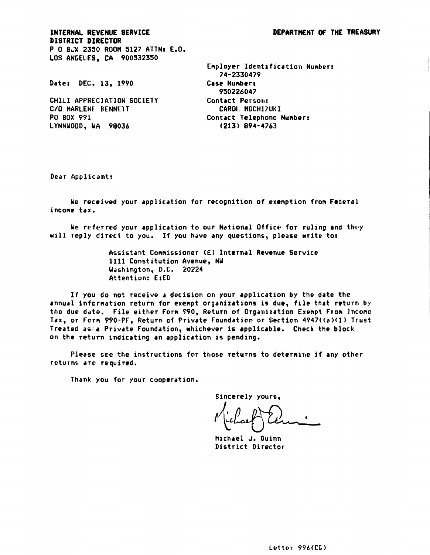INTERNAL REVENUE SERVICE **DISTRICT DIRECTOR** P 0 BLX 2350 ROOM 5127 ATTN: E.O. LOS ANGELES. CA 900532350

Date: DEC. 13. 1990

CHILI APPRECIATION SOCIETY C/O MARLENE BENNETT PO BOX 991 LYNNWOOD, WA 98036

Employer Identification Number: 74-2330479 Case Numbers 950226047 Contact Person: CAROL MOCHIZUKI Contact Telephone Number:  $(213) 894 - 4763$ 

Dear Applicant:

We received your application for recognition of exemption from Federal income tax.

We referred your application to our National Office for ruling and they will reply direct to you. If you have any questions, please write to:

> Assistant Conmissioner (E) Internal Revenue Service 1111 Constitution Avenue. NW Washington, D.C. 20224 Attention: E:EO

If you do not receive a decision on your application by the date the annual information return for exempt organizations is due, file that return by the due date. File either Form 990, Return of Organization Exempt From Income Tax, or Form 990-PF, Return of Private Foundation or Section 4947((a)(1) Trust Treated as:a Private Foundation, whichever is applicable. Check the block on the return indicating an application is pending.

Please see the instructions for those returns to determine if any other returns are required.

Thank you for your cooperation.

Sincerely yours.

Michael J. Quinn District Director